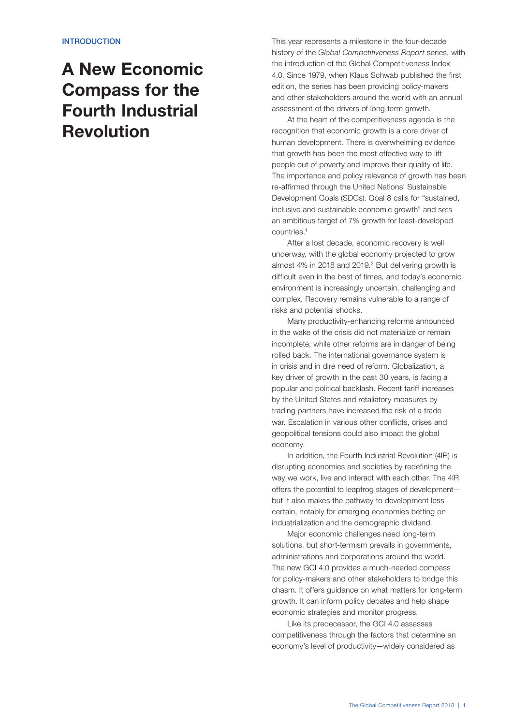## A New Economic Compass for the Fourth Industrial Revolution

This year represents a milestone in the four-decade history of the *Global Competitiveness Report* series, with the introduction of the Global Competitiveness Index 4.0. Since 1979, when Klaus Schwab published the first edition, the series has been providing policy-makers and other stakeholders around the world with an annual assessment of the drivers of long-term growth.

At the heart of the competitiveness agenda is the recognition that economic growth is a core driver of human development. There is overwhelming evidence that growth has been the most effective way to lift people out of poverty and improve their quality of life. The importance and policy relevance of growth has been re-affirmed through the United Nations' Sustainable Development Goals (SDGs). Goal 8 calls for "sustained, inclusive and sustainable economic growth" and sets an ambitious target of 7% growth for least-developed countries.1

After a lost decade, economic recovery is well underway, with the global economy projected to grow almost 4% in 2018 and 2019.<sup>2</sup> But delivering growth is difficult even in the best of times, and today's economic environment is increasingly uncertain, challenging and complex. Recovery remains vulnerable to a range of risks and potential shocks.

Many productivity-enhancing reforms announced in the wake of the crisis did not materialize or remain incomplete, while other reforms are in danger of being rolled back. The international governance system is in crisis and in dire need of reform. Globalization, a key driver of growth in the past 30 years, is facing a popular and political backlash. Recent tariff increases by the United States and retaliatory measures by trading partners have increased the risk of a trade war. Escalation in various other conflicts, crises and geopolitical tensions could also impact the global economy.

In addition, the Fourth Industrial Revolution (4IR) is disrupting economies and societies by redefining the way we work, live and interact with each other. The 4IR offers the potential to leapfrog stages of development but it also makes the pathway to development less certain, notably for emerging economies betting on industrialization and the demographic dividend.

Major economic challenges need long-term solutions, but short-termism prevails in governments, administrations and corporations around the world. The new GCI 4.0 provides a much-needed compass for policy-makers and other stakeholders to bridge this chasm. It offers guidance on what matters for long-term growth. It can inform policy debates and help shape economic strategies and monitor progress.

Like its predecessor, the GCI 4.0 assesses competitiveness through the factors that determine an economy's level of productivity—widely considered as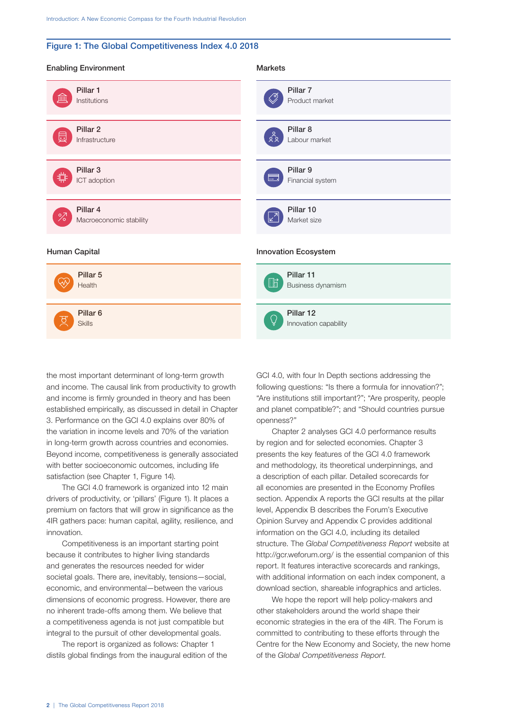## Figure 1: The Global Competitiveness Index 4.0 2018

| <b>Enabling Environment</b> | <b>Markets</b>                           |
|-----------------------------|------------------------------------------|
| Pillar 1                    | Pillar <sub>7</sub>                      |
| 逦                           | D,                                       |
| Institutions                | Product market                           |
| Pillar <sub>2</sub>         | Pillar <sub>8</sub>                      |
| 唇                           | ०<br>१०                                  |
| Infrastructure              | Labour market                            |
| Pillar <sub>3</sub>         | Pillar <sub>9</sub>                      |
| 1대                          | 6                                        |
| ICT adoption                | Financial system                         |
| Pillar 4                    | Pillar 10                                |
| $\frac{6}{2}$               | $\sqrt{2}$                               |
| Macroeconomic stability     | Market size                              |
| Human Capital               | Innovation Ecosystem                     |
| Pillar 5<br>Health          | Pillar 11<br>$\Box$<br>Business dynamism |
| Pillar <sub>6</sub>         | Pillar 12                                |
| <b>Skills</b>               | Innovation capability                    |

the most important determinant of long-term growth and income. The causal link from productivity to growth and income is firmly grounded in theory and has been established empirically, as discussed in detail in Chapter 3. Performance on the GCI 4.0 explains over 80% of the variation in income levels and 70% of the variation in long-term growth across countries and economies. Beyond income, competitiveness is generally associated with better socioeconomic outcomes, including life satisfaction (see Chapter 1, Figure 14).

The GCI 4.0 framework is organized into 12 main drivers of productivity, or 'pillars' (Figure 1). It places a premium on factors that will grow in significance as the 4IR gathers pace: human capital, agility, resilience, and innovation.

Competitiveness is an important starting point because it contributes to higher living standards and generates the resources needed for wider societal goals. There are, inevitably, tensions—social, economic, and environmental—between the various dimensions of economic progress. However, there are no inherent trade-offs among them. We believe that a competitiveness agenda is not just compatible but integral to the pursuit of other developmental goals.

The report is organized as follows: Chapter 1 distils global findings from the inaugural edition of the

GCI 4.0, with four In Depth sections addressing the following questions: "Is there a formula for innovation?"; "Are institutions still important?"; "Are prosperity, people and planet compatible?"; and "Should countries pursue openness?"

Chapter 2 analyses GCI 4.0 performance results by region and for selected economies. Chapter 3 presents the key features of the GCI 4.0 framework and methodology, its theoretical underpinnings, and a description of each pillar. Detailed scorecards for all economies are presented in the Economy Profiles section. Appendix A reports the GCI results at the pillar level, Appendix B describes the Forum's Executive Opinion Survey and Appendix C provides additional information on the GCI 4.0, including its detailed structure. The *Global Competitiveness Report* website at http://gcr.weforum.org/ is the essential companion of this report. It features interactive scorecards and rankings, with additional information on each index component, a download section, shareable infographics and articles.

We hope the report will help policy-makers and other stakeholders around the world shape their economic strategies in the era of the 4IR. The Forum is committed to contributing to these efforts through the Centre for the New Economy and Society, the new home of the *Global Competitiveness Report*.